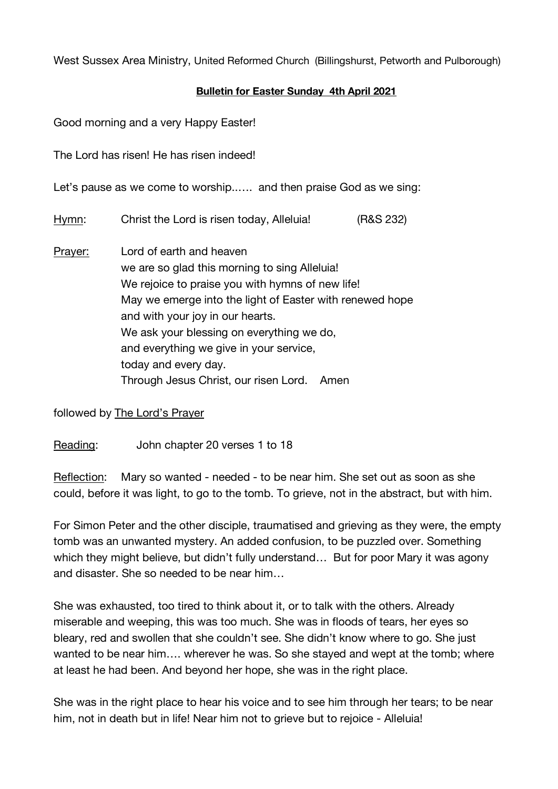West Sussex Area Ministry, United Reformed Church (Billingshurst, Petworth and Pulborough)

## **Bulletin for Easter Sunday 4th April 2021**

Good morning and a very Happy Easter!

The Lord has risen! He has risen indeed!

Let's pause as we come to worship..…. and then praise God as we sing:

Hymn: Christ the Lord is risen today, Alleluia! (R&S 232)

Prayer: Lord of earth and heaven we are so glad this morning to sing Alleluia! We rejoice to praise you with hymns of new life! May we emerge into the light of Easter with renewed hope and with your joy in our hearts. We ask your blessing on everything we do, and everything we give in your service, today and every day. Through Jesus Christ, our risen Lord. Amen

followed by The Lord's Prayer

Reading: John chapter 20 verses 1 to 18

Reflection: Mary so wanted - needed - to be near him. She set out as soon as she could, before it was light, to go to the tomb. To grieve, not in the abstract, but with him.

For Simon Peter and the other disciple, traumatised and grieving as they were, the empty tomb was an unwanted mystery. An added confusion, to be puzzled over. Something which they might believe, but didn't fully understand... But for poor Mary it was agony and disaster. She so needed to be near him…

She was exhausted, too tired to think about it, or to talk with the others. Already miserable and weeping, this was too much. She was in floods of tears, her eyes so bleary, red and swollen that she couldn't see. She didn't know where to go. She just wanted to be near him…. wherever he was. So she stayed and wept at the tomb; where at least he had been. And beyond her hope, she was in the right place.

She was in the right place to hear his voice and to see him through her tears; to be near him, not in death but in life! Near him not to grieve but to rejoice - Alleluia!